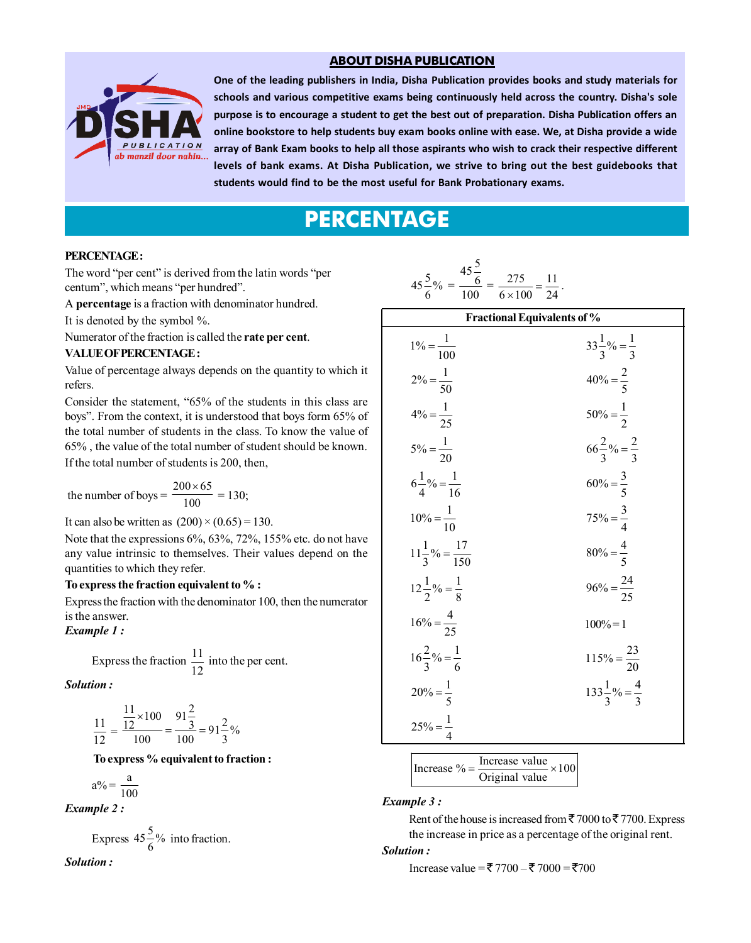#### **ABOUT DISHA PUBLICATION**



array of Bank Exam books to help all those aspirants who wish to crack their respective different<br>levels of bank exams. At Disha Publication, we strive to bring out the best guidebooks that<br>students would find to be the mo One of the leading publishers in India, Disha Publication provides books and study materials for schools and various competitive exams being continuously held across the country. Disha's sole purpose is to encourage a student to get the best out of preparation. Disha Publication offers an online bookstore to help students buy exam books online with ease. We, at Disha provide a wide levels of bank exams. At Disha Publication, we strive to bring out the best guidebooks that students would find to be the most useful for Bank Probationary exams.

# **PERCENTAGE**

#### **PERCENTAGE :**

The word "per cent" is derived from the latin words "per centum", which means "per hundred".

A **percentage** is a fraction with denominator hundred.

It is denoted by the symbol %.

Numerator of the fraction is called the **rate per cent**.

#### **VALUE OF PERCENTAGE :**

Value of percentage always depends on the quantity to which it refers.

Consider the statement, "65% of the students in this class are boys". From the context, it is understood that boys form 65% of the total number of students in the class. To know the value of 65% , the value of the total number of student should be known.

If the total number of students is 200, then,

the number of boys = 
$$
\frac{200 \times 65}{100} = 130;
$$

It can also be written as  $(200) \times (0.65) = 130$ .

Note that the expressions 6%, 63%, 72%, 155% etc. do not have any value intrinsic to themselves. Their values depend on the quantities to which they refer.

#### **To express the fraction equivalent to % :**

Express the fraction with the denominator 100, then the numerator is the answer.

#### *Example 1 :*

Express the fraction 
$$
\frac{11}{12}
$$
 into the per cent.

*Solution :*

$$
\frac{11}{12} = \frac{\frac{11}{12} \times 100}{100} = \frac{91\frac{2}{3}}{100} = 91\frac{2}{3}\%
$$

#### **To express % equivalent to fraction :**

$$
a\% = \frac{a}{100}
$$

*Example 2 :*

Express 
$$
45\frac{5}{6}
$$
% into fraction.

*Solution :*

$$
45\frac{5}{6}\% = \frac{45\frac{5}{6}}{100} = \frac{275}{6 \times 100} = \frac{11}{24}
$$

| <b>Fractional Equivalents of %</b> |                                  |  |  |  |
|------------------------------------|----------------------------------|--|--|--|
| $1\% = \frac{1}{100}$              | $33\frac{1}{3}\% = \frac{1}{3}$  |  |  |  |
| $2\% = \frac{1}{50}$               | $40% = \frac{2}{5}$              |  |  |  |
| $4\% = \frac{1}{25}$               | $50\% = \frac{1}{2}$             |  |  |  |
| $5\% = \frac{1}{20}$               | $66\frac{2}{3}\% = \frac{2}{3}$  |  |  |  |
| $6\frac{1}{4}\% = \frac{1}{16}$    | $60\% = \frac{3}{5}$             |  |  |  |
| $10\% = \frac{1}{10}$              | $75\% = \frac{3}{4}$             |  |  |  |
| $11\frac{1}{3}\% = \frac{17}{150}$ | $80\% = \frac{4}{5}$             |  |  |  |
| $12\frac{1}{2}\% = \frac{1}{8}$    | $96\% = \frac{24}{25}$           |  |  |  |
| $16\% = \frac{4}{25}$              | $100% = 1$                       |  |  |  |
| $16\frac{2}{3}\% = \frac{1}{6}$    | $115\% = \frac{23}{20}$          |  |  |  |
| $20\% = \frac{1}{5}$               | $133\frac{1}{3}\% = \frac{4}{3}$ |  |  |  |
| $25\% = \frac{1}{4}$               |                                  |  |  |  |

.

$$
\left| \text{Increase } \% = \frac{\text{Increase value}}{\text{Original value}} \times 100 \right|
$$

#### *Example 3 :*

Rent of the house is increased from  $\bar{5}$  7000 to  $\bar{5}$  7700. Express the increase in price as a percentage of the original rent.

#### *Solution :*

Increase value = ₹ 7700 – ₹ 7000 = ₹ 700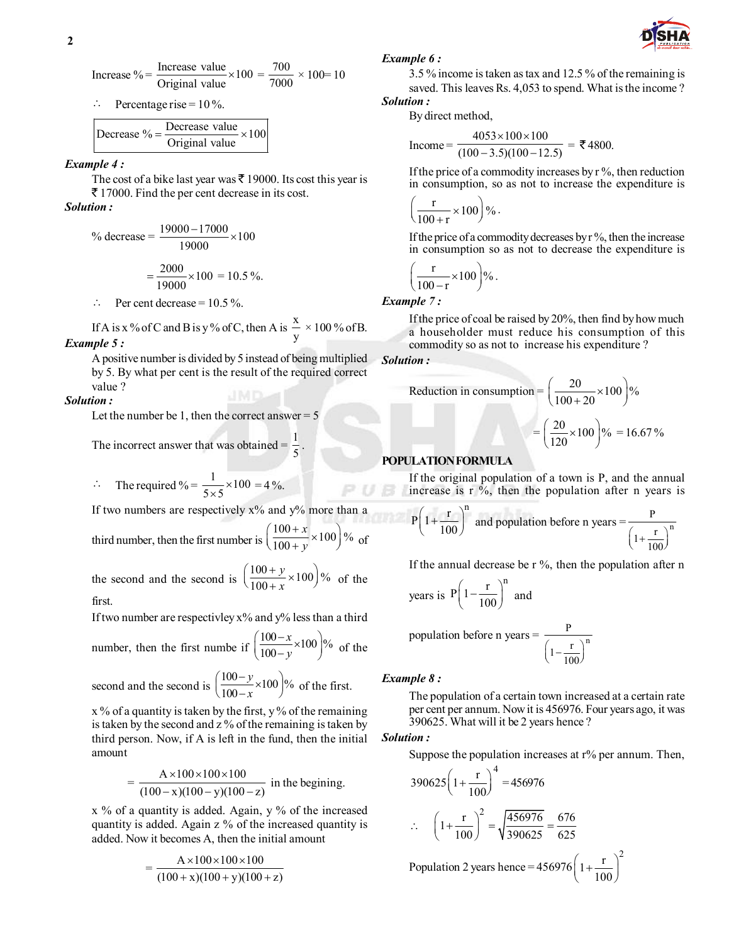Increase % = 
$$
\frac{\text{Increase value}}{\text{Original value}} \times 100 = \frac{700}{7000} \times 100 = 10
$$

 $\therefore$  Percentage rise = 10 %.

| Decrease $\% = \frac{\%}{\%} = \frac{\%}{\%} = \frac{\%}{\%} = \frac{\%}{\%} = \frac{\%}{\%} = \frac{\%}{\%} = \frac{\%}{\%} = \frac{\%}{\%} = \frac{\%}{\%} = \frac{\%}{\%} = \frac{\%}{\%} = \frac{\%}{\%} = \frac{\%}{\%} = \frac{\%}{\%} = \frac{\%}{\%} = \frac{\%}{\%} = \frac{\%}{\%} = \frac{\%}{\%} = \frac{\%}{\%} = \frac{\%}{\%} = \frac{\%}{\%} = \frac{\%}{\%} = \frac{\%}{\%} = \$ | Decrease value $\times 100^{7}$ |  |
|---------------------------------------------------------------------------------------------------------------------------------------------------------------------------------------------------------------------------------------------------------------------------------------------------------------------------------------------------------------------------------------------------|---------------------------------|--|
|                                                                                                                                                                                                                                                                                                                                                                                                   | Original value                  |  |

#### *Example 4 :*

The cost of a bike last year was  $\bar{\tau}$  19000. Its cost this year is  $\bar{\tau}$  17000. Find the per cent decrease in its cost.

#### *Solution :*

% decrease 
$$
=\frac{19000 - 17000}{19000} \times 100
$$
  
 $=\frac{2000}{19000} \times 100 = 10.5 \%$ .

 $\therefore$  Per cent decrease = 10.5 %.

If A is x % of C and B is y % of C, then A is  $\frac{x}{x}$  $\frac{\text{m}}{\text{y}} \times 100\%$  of B. *Example 5 :*

#### A positive number is divided by 5 instead of being multiplied by 5. By what per cent is the result of the required correct value ?

.

#### *Solution :*

Let the number be 1, then the correct answer  $= 5$ 

The incorrect answer that was obtained =  $\frac{1}{6}$ 5

$$
\therefore \quad \text{The required } \% = \frac{1}{5 \times 5} \times 100 = 4\%.
$$

If two numbers are respectively  $x\%$  and  $y\%$  more than a

third number, then the first number is 
$$
\left(\frac{100+x}{100+y} \times 100\right)\%
$$
 of

the second and the second is  $\left(\frac{100+y}{100+x} \times 100\right)$ % *y x*  $\left(\frac{100+y}{100+x} \times 100\right)$ % of the first.

If two number are respectivley  $x\%$  and  $y\%$  less than a third

number, then the first number if 
$$
\left(\frac{100-x}{100-y} \times 100\right)\%
$$
 of the

second and the second is  $\left(\frac{100-y}{100-x} \times 100\right)$ %  $\left(\frac{100-y}{100-x} \times 100\right)^{9}$ *y*  $\frac{y}{x}$  × 100  $\frac{y}{x}$  of the first.

 $x$  % of a quantity is taken by the first, y % of the remaining is taken by the second and z % of the remaining is taken by third person. Now, if A is left in the fund, then the initial amount

$$
= \frac{A \times 100 \times 100 \times 100}{(100 - x)(100 - y)(100 - z)}
$$
 in the beginning.

 $x$  % of a quantity is added. Again,  $y$  % of the increased quantity is added. Again z % of the increased quantity is added. Now it becomes A, then the initial amount

$$
= \frac{A \times 100 \times 100 \times 100}{(100 + x)(100 + y)(100 + z)}
$$

#### *Example 6 :*

3.5 % income is taken as tax and 12.5 % of the remaining is saved. This leaves Rs. 4,053 to spend. What is the income? *Solution :*

By direct method,

Income = 
$$
\frac{4053 \times 100 \times 100}{(100 - 3.5)(100 - 12.5)} = ₹4800.
$$

If the price of a commodity increases by  $r \, \%$ , then reduction in consumption, so as not to increase the expenditure is

$$
\left(\frac{r}{100+r} \times 100\right)\%
$$

 If the price of a commodity decreases by r %, then the increase in consumption so as not to decrease the expenditure is

$$
\left(\frac{r}{100-r} \times 100\right)\%
$$

*Example 7 :*

If the price of coal be raised by 20%, then find by how much a householder must reduce his consumption of this commodity so as not to increase his expenditure ?

#### *Solution :*

Reduction in consumption 
$$
= \left(\frac{20}{100+20} \times 100\right)\%
$$

$$
= \left(\frac{20}{120} \times 100\right)\% = 16.67\%
$$

#### **POPULATION FORMULA**

 If the original population of a town is P, and the annual increase is  $r \, \frac{\delta}{2}$ , then the population after n years is

$$
P\left(1+\frac{r}{100}\right)^n
$$
 and population before n years  $=\frac{P}{\left(1+\frac{r}{100}\right)^n}$ 

If the annual decrease be  $r \, \frac{1}{2}$ , then the population after n

years is 
$$
P\left(1 - \frac{r}{100}\right)^n
$$
 and

population before n years =  $\frac{1}{(x-a)^n}$ P  $\left(1-\frac{r}{100}\right)^n$ 

#### *Example 8 :*

The population of a certain town increased at a certain rate per cent per annum. Now it is 456976. Four years ago, it was 390625. What will it be 2 years hence ?

#### *Solution :*

Suppose the population increases at r% per annum. Then,

$$
390625\left(1+\frac{r}{100}\right)^4 = 456976
$$
  

$$
\therefore \quad \left(1+\frac{r}{100}\right)^2 = \sqrt{\frac{456976}{390625}} = \frac{676}{625}
$$

Population 2 years hence = 456976  $\left(1+\frac{r}{100}\right)^2$ 

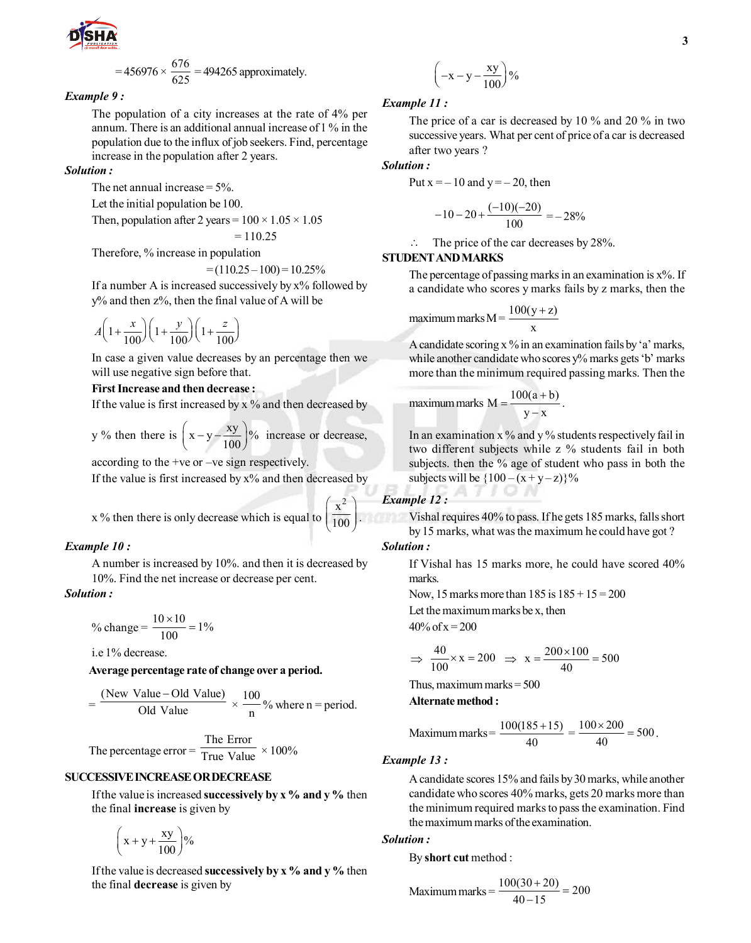

$$
= 456976 \times \frac{676}{625} = 494265
$$
 approximately.

#### *Example 9 :*

The population of a city increases at the rate of 4% per annum. There is an additional annual increase of 1 % in the population due to the influx of job seekers. Find, percentage increase in the population after 2 years.

#### *Solution :*

The net annual increase  $= 5\%$ .

Let the initial population be 100.

Then, population after 2 years =  $100 \times 1.05 \times 1.05$ 

$$
=110.25
$$

Therefore, % increase in population

 $= (110.25 - 100) = 10.25\%$ 

If a number A is increased successively by  $x\%$  followed by y% and then z%, then the final value of A will be

$$
A\left(1+\frac{x}{100}\right)\left(1+\frac{y}{100}\right)\left(1+\frac{z}{100}\right)
$$

In case a given value decreases by an percentage then we will use negative sign before that.

#### **First Increase and then decrease :**

If the value is first increased by  $x$  % and then decreased by

y % then there is  $\left(x-y-\frac{xy}{100}\right)$ % increase or decrease,

according to the +ve or –ve sign respectively.

If the value is first increased by  $x\%$  and then decreased by

x % then there is only decrease which is equal to  $x^2$  $\left(\frac{x^2}{100}\right)$ .

#### *Example 10 :*

A number is increased by 10%. and then it is decreased by 10%. Find the net increase or decrease per cent.

#### *Solution :*

% change = 
$$
\frac{10 \times 10}{100} = 1\%
$$

i.e 1% decrease.

#### **Average percentage rate of change over a period.**

$$
= \frac{\text{(New Value - Old Value)}}{\text{Old Value}} \times \frac{100}{n} % \text{where n = period.}
$$

The percentage error = 
$$
\frac{\text{The Error}}{\text{True Value}} \times 100\%
$$

#### **SUCCESSIVE INCREASE OR DECREASE**

 If the value is increased **successively by x % and y %** then the final **increase** is given by

 $\left(x+y+\frac{xy}{100}\right)\%$ 

 If the value is decreased **successively by x % and y %** then the final **decrease** is given by

$$
\left(-x-y-\frac{xy}{100}\right)\%
$$

#### *Example 11 :*

The price of a car is decreased by 10 % and 20 % in two successive years. What per cent of price of a car is decreased after two years ?

*Solution :*

Put  $x = -10$  and  $y = -20$ , then

$$
-10-20+\frac{(-10)(-20)}{100}=-28\%
$$

 $\therefore$  The price of the car decreases by 28%.

#### **STUDENT AND MARKS**

The percentage of passing marks in an examination is  $x\%$ . If a candidate who scores y marks fails by z marks, then the

maximum marks M = 
$$
\frac{100(y+z)}{x}
$$

 A candidate scoring x % in an examination fails by 'a' marks, while another candidate who scores y% marks gets 'b' marks more than the minimum required passing marks. Then the

maximum marks M = 
$$
\frac{100(a+b)}{y-x}
$$
.

In an examination  $x$ % and  $y$ % students respectively fail in two different subjects while z % students fail in both subjects. then the % age of student who pass in both the subjects will be  ${100 - (x + y - z)}\%$ 

# *Example 12 :*

Vishal requires 40% to pass. If he gets 185 marks, falls short by 15 marks, what was the maximum he could have got ?

## *Solution :*

If Vishal has 15 marks more, he could have scored 40% marks.

Now, 15 marks more than  $185$  is  $185 + 15 = 200$ Let the maximum marks be x, then

 $40\% \text{ of } x = 200$ 

$$
\Rightarrow \frac{40}{100} \times x = 200 \Rightarrow x = \frac{200 \times 100}{40} = 500
$$

Thus, maximum marks  $= 500$ 

**Alternate method :**

Maximum marks = 
$$
\frac{100(185+15)}{40} = \frac{100 \times 200}{40} = 500.
$$

#### *Example 13 :*

A candidate scores 15% and fails by 30 marks, while another candidate who scores 40% marks, gets 20 marks more than the minimum required marks to pass the examination. Find the maximum marks of the examination.

#### *Solution :*

By **short cut** method :

Maximum marks 
$$
=
$$
  $\frac{100(30+20)}{40-15} = 200$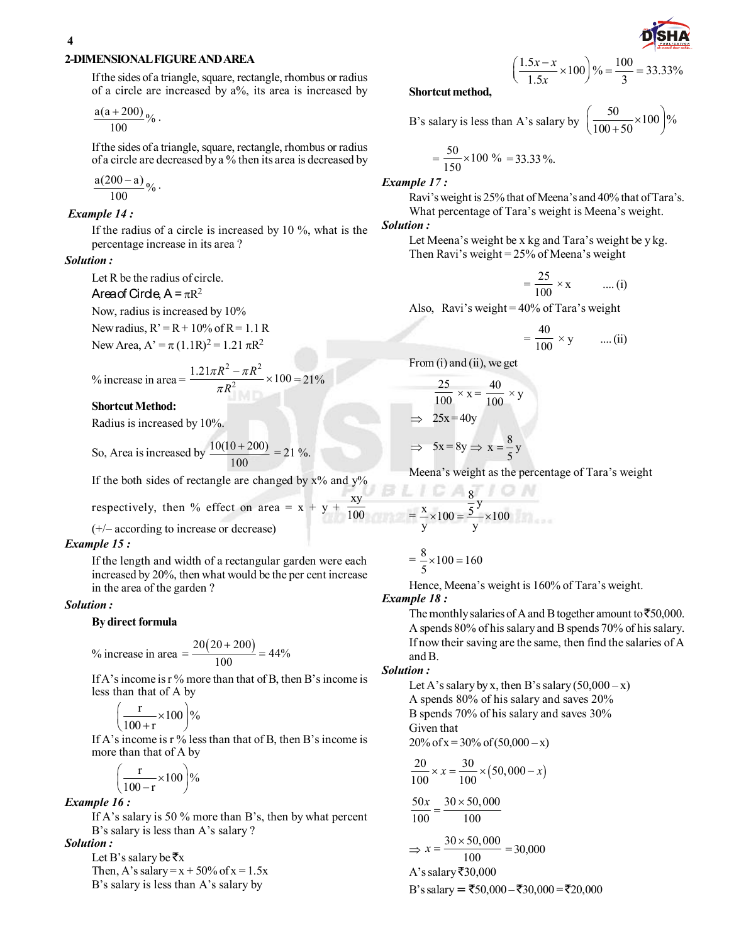#### **2-DIMENSIONAL FIGURE AND AREA**

 If the sides of a triangle, square, rectangle, rhombus or radius of a circle are increased by a%, its area is increased by

$$
\frac{a(a+200)}{100}\%
$$

 If the sides of a triangle, square, rectangle, rhombus or radius of a circle are decreased by a % then its area is decreased by

$$
\frac{a(200-a)}{100}\%
$$

#### *Example 14 :*

If the radius of a circle is increased by 10 %, what is the percentage increase in its area ?

#### *Solution :*

Let R be the radius of circle.

#### Area of Circle,  $A = \pi R^2$

Now, radius is increased by 10% New radius,  $R' = R + 10\%$  of  $R = 1.1 R$ 

New Area,  $A' = \pi (1.1R)^2 = 1.21 \pi R^2$ 

% increase in area = 
$$
\frac{1.21\pi R^2 - \pi R^2}{\pi R^2} \times 100 = 21\%
$$

#### **Shortcut Method:**

Radius is increased by 10%.

So, Area is increased by  $\frac{10(10+200)}{20}$ 100  $\frac{+200}{-21}$  = 21 %.

If the both sides of rectangle are changed by  $x\%$  and  $y\%$ 

respectively, then % effect on area = 
$$
x + y +
$$

(+/– according to increase or decrease)

#### *Example 15 :*

If the length and width of a rectangular garden were each increased by 20%, then what would be the per cent increase in the area of the garden ?

#### *Solution :*

#### **By direct formula**

% increase in area = 
$$
\frac{20(20+200)}{100} = 44\%
$$

 If A's income is r % more than that of B, then B's income is less than that of A by

$$
\left(\frac{r}{100+r} \times 100\right)\%
$$

 If A's income is r % less than that of B, then B's income is more than that of A by

$$
\left(\frac{r}{100-r} \times 100\right)\%
$$

#### *Example 16 :*

If A's salary is 50 % more than B's, then by what percent B's salary is less than A's salary ?

*Solution :*

Let B's salary be  $\bar{\tau}_X$ Then, A's salary =  $x + 50\%$  of  $x = 1.5x$ B's salary is less than A's salary by

#### **Shortcut method,**

B's salary is less than A's salary by 
$$
\left(\frac{50}{100+50} \times 100\right)\%
$$

 $x - x$ *x*

 $\frac{1.5x - x}{1.5} \times 100 \text{ } \% = \frac{100}{2} = 33.33\%$ 

 $1.5x$  3

 $\left(\frac{1.5x - x}{1.5x} \times 100\right) \% = \frac{100}{3} =$ 

$$
= \frac{50}{150} \times 100\% = 33.33\%
$$

*Example 17 :*

Ravi's weight is 25% that of Meena's and 40% that of Tara's. What percentage of Tara's weight is Meena's weight.

*Solution :*

Let Meena's weight be x kg and Tara's weight be y kg. Then Ravi's weight = 25% of Meena's weight

$$
= \frac{25}{100} \times x \qquad \dots (i)
$$

Also, Ravi's weight = 40% of Tara's weight

$$
= \frac{40}{100} \times y \qquad \dots (ii)
$$

From (i) and (ii), we get

$$
\frac{25}{100} \times x = \frac{40}{100} \times y
$$
  
\n
$$
\Rightarrow 25x = 40y
$$
  
\n
$$
\Rightarrow 5x = 8y \Rightarrow x = \frac{8}{5}y
$$

Meena's weight as the percentage of Tara's weight

$$
=\frac{x}{y} \times 100 = \frac{\frac{8}{5}y}{y} \times 100
$$

$$
=\frac{8}{5} \times 100 = 160
$$

Hence, Meena's weight is 160% of Tara's weight.

#### *Example 18 :*

xy 100

> The monthly salaries of A and B together amount to  $\overline{550,000}$ . A spends 80% of his salary and B spends 70% of his salary. If now their saving are the same, then find the salaries of A and B.

#### *Solution :*

Let A's salary by x, then B's salary  $(50,000 - x)$ A spends 80% of his salary and saves 20% B spends 70% of his salary and saves 30% Given that

$$
20\% \text{ of } x = 30\% \text{ of } (50,000 - x)
$$

$$
\frac{20}{100} \times x = \frac{30}{100} \times (50,000 - x)
$$

$$
\frac{50x}{100} = \frac{30 \times 50,000}{100}
$$

$$
\Rightarrow x = \frac{30 \times 50,000}{100} = 30,000
$$
  
A's salary ₹30,000

B's salary =  $\overline{$}50,000 - \overline{$}30,000 = \overline{$}20,000$ 

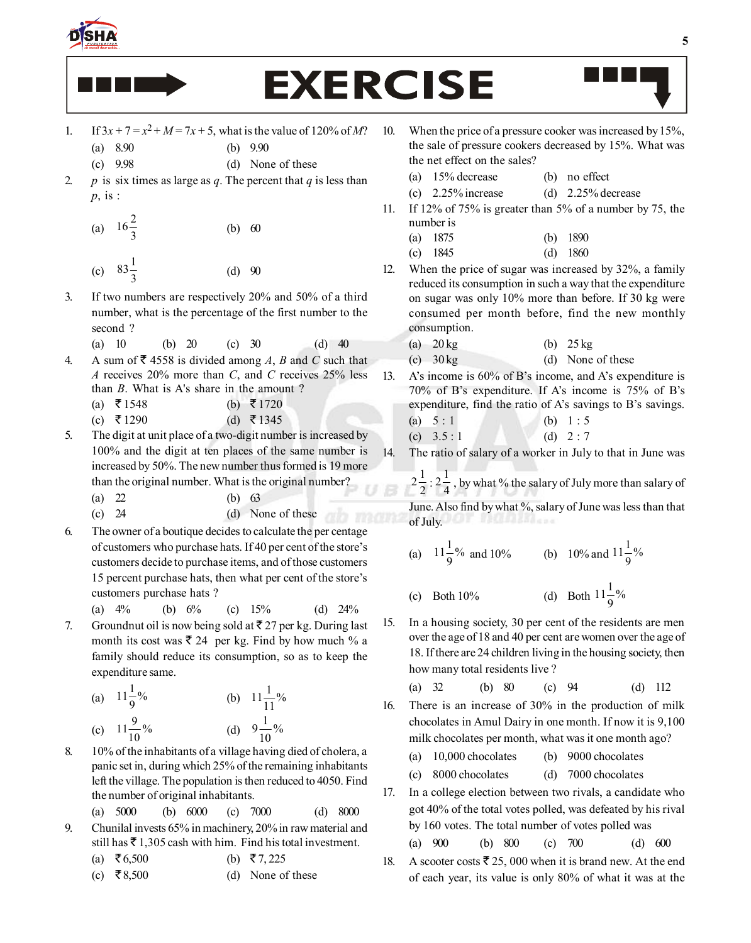

# **EXERCISE**

- 1. If  $3x + 7 = x^2 + M = 7x + 5$ , what is the value of 120% of *M*? (a) 8.90 (b) 9.90
	- (c) 9.98 (d) None of these
- 2. *p* is six times as large as *q*. The percent that *q* is less than *p*, is :
	- (a)  $16\frac{2}{3}$ (b) 60 (c)  $83\frac{1}{3}$  $(d)$  90
- 3. If two numbers are respectively 20% and 50% of a third number, what is the percentage of the first number to the second ?
	- (a) 10 (b) 20 (c) 30 (d) 40
- 4. A sum of  $\bar{\bar{\mathbf{z}}}$  4558 is divided among A, B and C such that *A* receives 20% more than *C*, and *C* receives 25% less than *B*. What is A's share in the amount ?
	- (a)  $\bar{x}$  1548 (b)  $\bar{x}$  1720
	- (c) ₹1290 (d) ₹1345
- 5. The digit at unit place of a two-digit number is increased by 100% and the digit at ten places of the same number is increased by 50%. The new number thus formed is 19 more than the original number. What is the original number?
	- (a) 22 (b) 63
	- (c) 24 (d) None of these
- 6. The owner of a boutique decides to calculate the per centage of customers who purchase hats. If 40 per cent of the store's customers decide to purchase items, and of those customers 15 percent purchase hats, then what per cent of the store's customers purchase hats ?

(a) 4% (b) 6% (c) 15% (d) 24% 7. Groundnut oil is now being sold at  $\overline{z}$  27 per kg. During last

month its cost was  $\bar{\mathfrak{g}}$  24 per kg. Find by how much % a family should reduce its consumption, so as to keep the expenditure same.

(a) 
$$
11\frac{1}{9}\%
$$
   
\n(b)  $11\frac{1}{11}\%$    
\n(c)  $11\frac{9}{10}\%$    
\n(d)  $9\frac{1}{10}\%$ 

8. 10% of the inhabitants of a village having died of cholera, a panic set in, during which 25% of the remaining inhabitants left the village. The population is then reduced to 4050. Find the number of original inhabitants.

(a) 5000 (b) 6000 (c) 7000 (d) 8000

9. Chunilal invests 65% in machinery, 20% in raw material and still has  $\bar{\tau}$  1,305 cash with him. Find his total investment.

(a) 
$$
\overline{56,500}
$$
 (b)  $\overline{57,225}$ 

(c)  $\overline{\mathbf{z}}$  8,500 (d) None of these

- 10. When the price of a pressure cooker was increased by 15%, the sale of pressure cookers decreased by 15%. What was the net effect on the sales?
	- (a) 15% decrease (b) no effect
	- (c)  $2.25\%$  increase (d)  $2.25\%$  decrease
- 11. If 12% of 75% is greater than 5% of a number by 75, the number is
	- (a) 1875 (b) 1890
	- (c) 1845 (d) 1860
- 12. When the price of sugar was increased by 32%, a family reduced its consumption in such a way that the expenditure on sugar was only 10% more than before. If 30 kg were consumed per month before, find the new monthly consumption.
	- (a)  $20 \text{ kg}$  (b)  $25 \text{ kg}$
	- (c)  $30 \text{ kg}$  (d) None of these
- 13. A's income is 60% of B's income, and A's expenditure is 70% of B's expenditure. If A's income is 75% of B's expenditure, find the ratio of A's savings to B's savings.
	- (a)  $5 : 1$  (b)  $1 : 5$ (c)  $3.5:1$  (d)  $2:7$

14. The ratio of salary of a worker in July to that in June was

 $2\frac{1}{2}$ :  $2\frac{1}{4}$ , by what % the salary of July more than salary of

June. Also find by what %, salary of June was less than that of July.

- (a)  $11\frac{1}{9}\%$  and 10% (b) 10% and  $11\frac{1}{9}\%$
- (c) Both  $10\%$  $11\frac{1}{9}\%$
- 15. In a housing society, 30 per cent of the residents are men over the age of 18 and 40 per cent are women over the age of 18. If there are 24 children living in the housing society, then how many total residents live ?

(a) 32 (b) 80 (c) 94 (d) 112

- 16. There is an increase of 30% in the production of milk chocolates in Amul Dairy in one month. If now it is 9,100 milk chocolates per month, what was it one month ago?
	- (a) 10,000 chocolates (b) 9000 chocolates
	- (c) 8000 chocolates (d) 7000 chocolates
- 17. In a college election between two rivals, a candidate who got 40% of the total votes polled, was defeated by his rival by 160 votes. The total number of votes polled was

(a) 900 (b) 800 (c) 700 (d) 600

18. A scooter costs  $\bar{\mathfrak{g}}$  25, 000 when it is brand new. At the end of each year, its value is only 80% of what it was at the

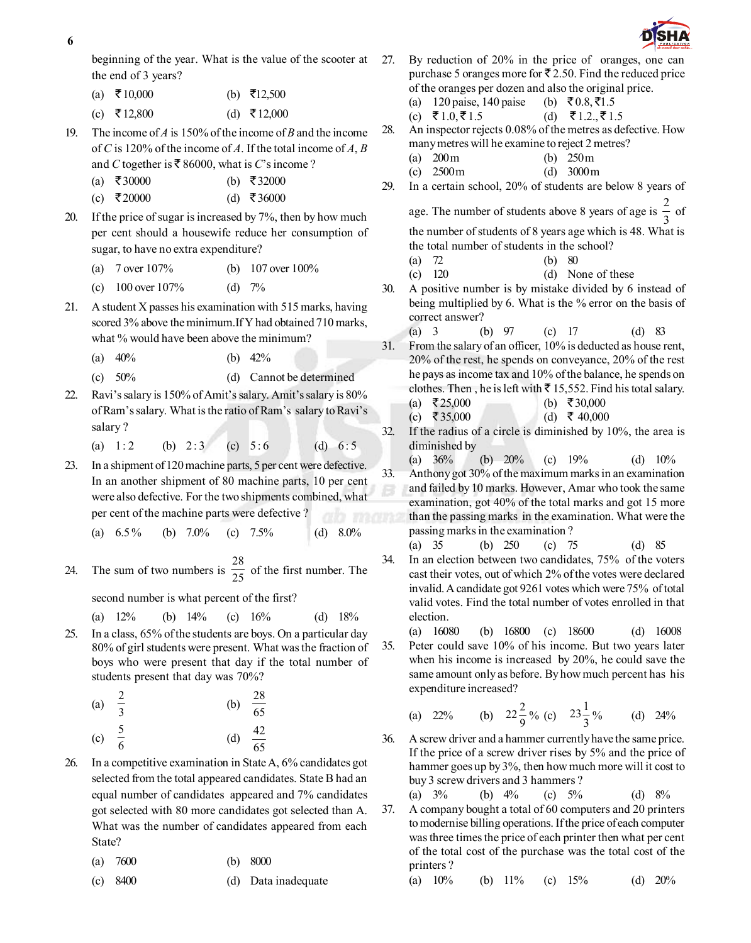**6**

beginning of the year. What is the value of the scooter at the end of 3 years?

- (a) ₹10,000 (b) ₹12,500
- (c) ₹12,800 (d) ₹12,000
- 19. The income of *A* is 150% of the income of *B* and the income of *C* is 120% of the income of *A*. If the total income of *A*, *B* and *C* together is  $\overline{\mathfrak{g}}$  86000, what is *C*'s income ?
	- (a) ₹30000 (b) ₹32000
	- (c) ₹20000 (d) ₹36000
- 20. If the price of sugar is increased by 7%, then by how much per cent should a housewife reduce her consumption of sugar, to have no extra expenditure?
	- (a) 7 over 107% (b) 107 over 100%
	- (c)  $100$  over  $107\%$  (d)  $7\%$
- 21. A student X passes his examination with 515 marks, having scored 3% above the minimum.If Y had obtained 710 marks, what % would have been above the minimum?
	- (a)  $40\%$  (b)  $42\%$
	- (c) 50% (d) Cannot be determined
- 22. Ravi's salary is 150% of Amit's salary. Amit's salary is 80% of Ram's salary. What is the ratio of Ram's salary to Ravi's salary ?
	- (a)  $1:2$  (b)  $2:3$  (c)  $5:6$  (d)  $6:5$
- 23. In a shipment of 120 machine parts, 5 per cent were defective. In an another shipment of 80 machine parts, 10 per cent were also defective. For the two shipments combined, what per cent of the machine parts were defective ?
	- (a)  $6.5\%$  (b)  $7.0\%$  (c)  $7.5\%$  (d)  $8.0\%$
- 24. The sum of two numbers is  $\frac{28}{25}$  of the first number. The

second number is what percent of the first?

(a) 
$$
12\%
$$
 (b)  $14\%$  (c)  $16\%$  (d)  $18\%$ 

25. In a class, 65% of the students are boys. On a particular day 80% of girl students were present. What was the fraction of boys who were present that day if the total number of students present that day was 70%?

(a) 
$$
\frac{2}{3}
$$
 (b)  $\frac{28}{65}$   
(c)  $\frac{5}{6}$  (d)  $\frac{42}{16}$ 

(c) 
$$
\frac{1}{6}
$$
 (d)  $\frac{42}{65}$ 

- 26. In a competitive examination in State A, 6% candidates got selected from the total appeared candidates. State B had an equal number of candidates appeared and 7% candidates got selected with 80 more candidates got selected than A. What was the number of candidates appeared from each State?
	- (a) 7600 (b) 8000
	- (c) 8400 (d) Data inadequate



- 27. By reduction of 20% in the price of oranges, one can purchase 5 oranges more for  $\bar{\mathcal{F}}$  2.50. Find the reduced price of the oranges per dozen and also the original price.
	- (a) 120 paise, 140 paise (b)  $\bar{\xi}$  0.8,  $\bar{\xi}$ 1.5
	- (c)  $\bar{\xi}$  1.0,  $\bar{\xi}$  1.5 (d)  $\bar{\xi}$  1.2.,  $\bar{\xi}$  1.5
- 28. An inspector rejects 0.08% of the metres as defective. How many metres will he examine to reject 2 metres?
	- (a) 200 m (b) 250 m
	- (c) 2500 m (d) 3000 m
- 29. In a certain school, 20% of students are below 8 years of age. The number of students above 8 years of age is  $\frac{2}{3}$  $\frac{1}{3}$  of
	- the number of students of 8 years age which is 48. What is the total number of students in the school?
	- (a) 72 (b) 80
	- (c) 120 (d) None of these
- 30. A positive number is by mistake divided by 6 instead of being multiplied by 6. What is the % error on the basis of correct answer?
	- (a) 3 (b) 97 (c) 17 (d) 83
- 31. From the salary of an officer, 10% is deducted as house rent, 20% of the rest, he spends on conveyance, 20% of the rest he pays as income tax and 10% of the balance, he spends on clothes. Then, he is left with  $\bar{\tau}$  15,552. Find his total salary. (a) ₹25,000 (b) ₹30,000
	- (c)  $\overline{5}35,000$  (d)  $\overline{5}40,000$
- 32. If the radius of a circle is diminished by 10%, the area is diminished by
- (a) 36% (b) 20% (c) 19% (d) 10% 33. Anthony got 30% of the maximum marks in an examination and failed by 10 marks. However, Amar who took the same examination, got 40% of the total marks and got 15 more than the passing marks in the examination. What were the passing marks in the examination ?
- (a) 35 (b) 250 (c) 75 (d) 85 34. In an election between two candidates, 75% of the voters cast their votes, out of which 2% of the votes were declared invalid. A candidate got 9261 votes which were 75% of total valid votes. Find the total number of votes enrolled in that election.
- (a) 16080 (b) 16800 (c) 18600 (d) 16008 35. Peter could save 10% of his income. But two years later when his income is increased by 20%, he could save the same amount only as before. By how much percent has his expenditure increased?

(a) 22% (b) 
$$
22\frac{2}{9}
$$
% (c)  $23\frac{1}{3}$ % (d) 24%

36. A screw driver and a hammer currently have the same price. If the price of a screw driver rises by 5% and the price of hammer goes up by 3%, then how much more will it cost to buy 3 screw drivers and 3 hammers ?

(a) 
$$
3\%
$$
 (b)  $4\%$  (c)  $5\%$  (d)  $8\%$ 

37. A company bought a total of 60 computers and 20 printers to modernise billing operations. If the price of each computer was three times the price of each printer then what per cent of the total cost of the purchase was the total cost of the printers ?

(a) 10% (b) 11% (c) 15% (d) 20%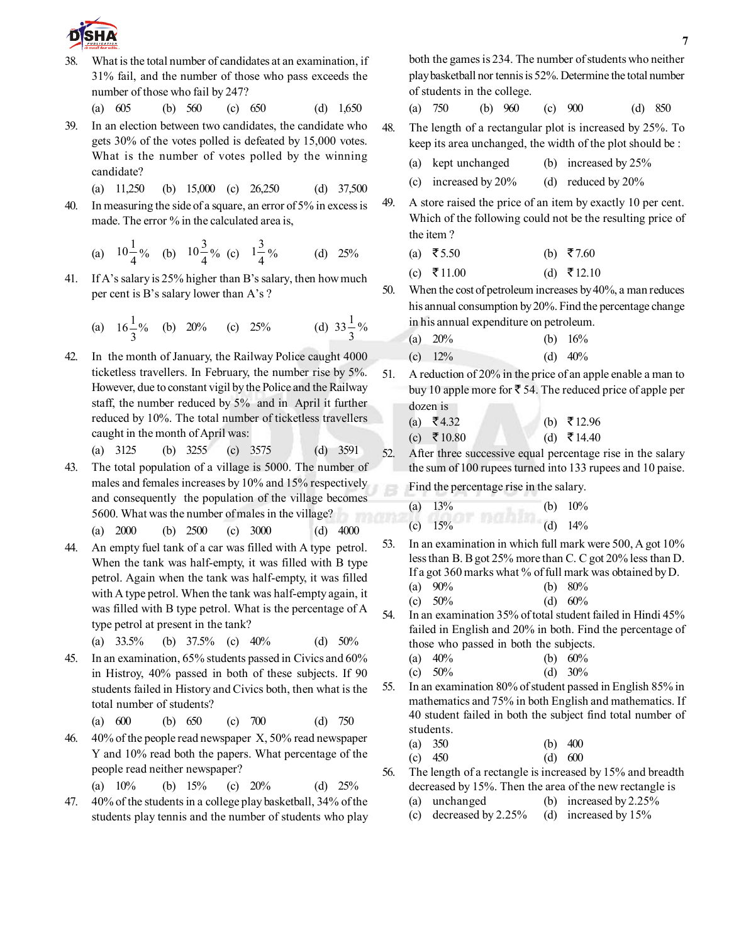

38. What is the total number of candidates at an examination, if 31% fail, and the number of those who pass exceeds the number of those who fail by 247?

(a) 605 (b) 560 (c) 650 (d) 1,650

- 39. In an election between two candidates, the candidate who gets 30% of the votes polled is defeated by 15,000 votes. What is the number of votes polled by the winning candidate?
	- (a) 11,250 (b) 15,000 (c) 26,250 (d) 37,500
- 40. In measuring the side of a square, an error of 5% in excess is made. The error % in the calculated area is,

(a) 
$$
10\frac{1}{4}\%
$$
 (b)  $10\frac{3}{4}\%$  (c)  $1\frac{3}{4}\%$  (d) 25%

41. If A's salary is 25% higher than B's salary, then how much per cent is B's salary lower than A's ?

(a) 
$$
16\frac{1}{3}\%
$$
 (b) 20% (c) 25% (d)  $33\frac{1}{3}\%$ 

42. In the month of January, the Railway Police caught 4000 ticketless travellers. In February, the number rise by 5%. However, due to constant vigil by the Police and the Railway staff, the number reduced by 5% and in April it further reduced by 10%. The total number of ticketless travellers caught in the month of April was:

(a) 3125 (b) 3255 (c) 3575 (d) 3591

- 43. The total population of a village is 5000. The number of males and females increases by 10% and 15% respectively and consequently the population of the village becomes 5600. What was the number of males in the village? (a) 2000 (b) 2500 (c) 3000 (d) 4000
- 44. An empty fuel tank of a car was filled with A type petrol. When the tank was half-empty, it was filled with B type petrol. Again when the tank was half-empty, it was filled with A type petrol. When the tank was half-empty again, it was filled with B type petrol. What is the percentage of A type petrol at present in the tank?
	- (a)  $33.5\%$  (b)  $37.5\%$  (c)  $40\%$  (d)  $50\%$
- 45. In an examination, 65% students passed in Civics and 60% in Histroy, 40% passed in both of these subjects. If 90 students failed in History and Civics both, then what is the total number of students?
	- (a) 600 (b) 650 (c) 700 (d) 750
- 46. 40% of the people read newspaper X, 50% read newspaper Y and 10% read both the papers. What percentage of the people read neither newspaper?

(a) 10% (b) 15% (c) 20% (d) 25%

47. 40% of the students in a college play basketball, 34% of the students play tennis and the number of students who play both the games is 234. The number of students who neither play basketball nor tennis is 52%. Determine the total number of students in the college.

(a) 750 (b) 960 (c) 900 (d) 850

48. The length of a rectangular plot is increased by 25%. To keep its area unchanged, the width of the plot should be :

- (a) kept unchanged (b) increased by 25%
- (c) increased by 20% (d) reduced by 20%
- 49. A store raised the price of an item by exactly 10 per cent. Which of the following could not be the resulting price of the item ?
	- (a)  $\overline{55.50}$  (b)  $\overline{57.60}$
	- (c) ₹11.00 (d) ₹12.10
- 50. When the cost of petroleum increases by 40%, a man reduces his annual consumption by 20%. Find the percentage change in his annual expenditure on petroleum.
	- (a)  $20\%$  (b)  $16\%$ (c)  $12\%$  (d)  $40\%$
- 51. A reduction of 20% in the price of an apple enable a man to buy 10 apple more for  $\bar{\mathfrak{g}}$  54. The reduced price of apple per dozen is
	- (a)  $\bar{z}$  4.32 (b)  $\bar{z}$  12.96 (c) ₹10.80 (d) ₹14.40

52. After three successive equal percentage rise in the salary the sum of 100 rupees turned into 133 rupees and 10 paise.

Find the percentage rise in the salary.

| (a) $13\%$ | (b) $10\%$ |
|------------|------------|
| (c) $15%$  | (d) $14%$  |

- 53. In an examination in which full mark were 500, A got 10% less than B. B got 25% more than C. C got 20% less than D. If a got 360 marks what % of full mark was obtained by D.
	- (a) 90% (b) 80% (c)  $50\%$  (d)  $60\%$
- 54. In an examination 35% of total student failed in Hindi 45% failed in English and 20% in both. Find the percentage of those who passed in both the subjects.
	- (a) 40% (b) 60%
	- (c)  $50\%$  (d)  $30\%$
- 55. In an examination 80% of student passed in English 85% in mathematics and 75% in both English and mathematics. If 40 student failed in both the subject find total number of students.
	- (a) 350 (b) 400 (c) 450 (d) 600
- 56. The length of a rectangle is increased by 15% and breadth decreased by 15%. Then the area of the new rectangle is (a) unchanged (b) increased by 2.25%
	- (c) decreased by 2.25% (d) increased by 15%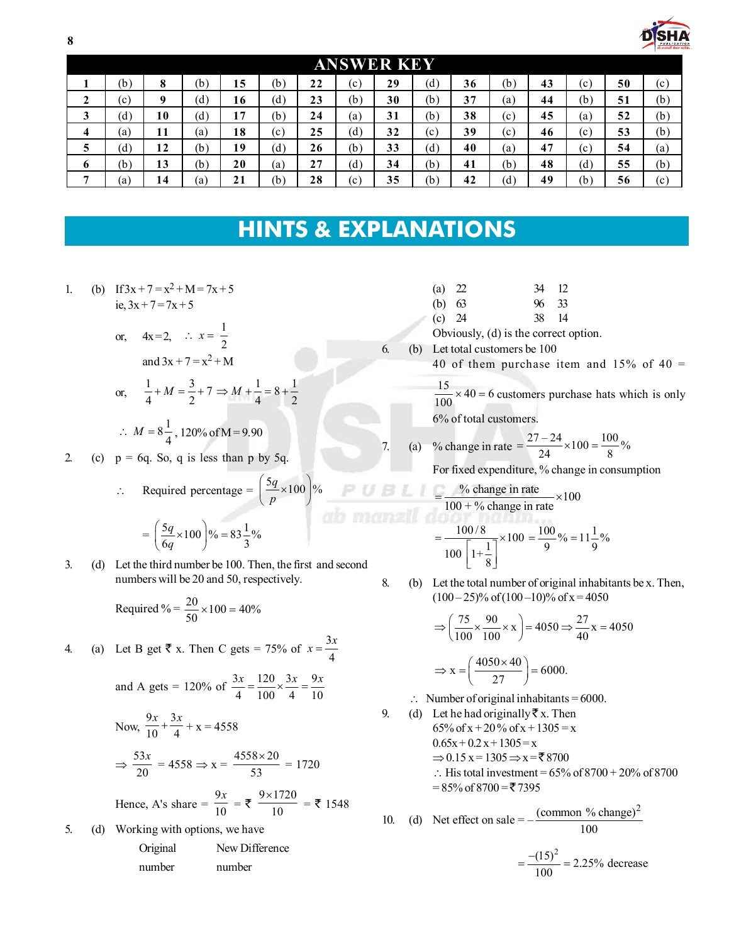| ŏ                 |                    |         |     |           |     |    |     |    |     |    |     |    |     |    | PUBLICAT<br>ab mauzil door a |
|-------------------|--------------------|---------|-----|-----------|-----|----|-----|----|-----|----|-----|----|-----|----|------------------------------|
| <b>ANSWER KEY</b> |                    |         |     |           |     |    |     |    |     |    |     |    |     |    |                              |
|                   | (b)                | 8       | (b) | 15        | (b` | 22 | (c) | 29 | (d) | 36 | (b) | 43 | (c) | 50 | (c)                          |
| ◠<br>∼            | $\rm ^{(c)}$       | $\bf o$ | (d) | 16        | (d) | 23 | (b) | 30 | (b) | 37 | (a) | 44 | (b) | 51 | (b)                          |
| 3                 | (d)                | 10      | (d) | 17        | (b) | 24 | (a) | 31 | (b) | 38 | (c) | 45 | (a) | 52 | (b)                          |
| 4                 | (a)                | 11      | (a) | 18        | (c) | 25 | (d) | 32 | (c) | 39 | (c) | 46 | (c) | 53 | (b)                          |
| 5                 | $\left( d \right)$ | 12      | (b) | 19        | (d) | 26 | (b) | 33 | (d) | 40 | (a) | 47 | (c) | 54 | (a)                          |
| o                 | (b)                | 13      | (b) | 20        | (a) | 27 | (d) | 34 | (b) | 41 | (b) | 48 | (d) | 55 | (b)                          |
| -                 | a)                 | 14      | (a) | 21<br>2 I | (b  | 28 | (c) | 35 | (b) | 42 | (ď  | 49 | (b) | 56 | (c)                          |

# **HINTS & EXPLANATIONS**

1. (b) If  $3x + 7 = x^2 + M = 7x + 5$ ie,  $3x + 7 = 7x + 5$ 

or, 
$$
4x=2
$$
,  $\therefore x = \frac{1}{2}$   
and  $3x + 7 = x^2 + M$   
or,  $\frac{1}{4} + M = \frac{3}{2} + 7 \Rightarrow M + \frac{1}{4} = 8 + \frac{1}{2}$ 

$$
\therefore M = 8\frac{1}{4}, 120\% \text{ of M} = 9.90
$$

2. (c)  $p = 6q$ . So, q is less than p by 5q.

$$
\therefore \quad \text{Required percentage} = \left(\frac{5q}{p} \times 100\right)\%
$$

$$
= \left(\frac{5q}{6q} \times 100\right) \% = 83 \frac{1}{3} \%
$$

3. (d) Let the third number be 100. Then, the first and second numbers will be 20 and 50, respectively.

Required % = 
$$
\frac{20}{50} \times 100 = 40\%
$$

4. (a) Let B get 
$$
\bar{\xi}
$$
 x. Then C gets = 75% of  $x = \frac{3x}{4}$ 

and A gets = 120% of 
$$
\frac{3x}{4} = \frac{120}{100} \times \frac{3x}{4} = \frac{9x}{10}
$$

Now, 
$$
\frac{9x}{10} + \frac{3x}{4} + x = 4558
$$

$$
\Rightarrow \frac{53x}{20} = 4558 \Rightarrow x = \frac{4558 \times 20}{53} = 1720
$$

Hence, A's share = 
$$
\frac{9x}{10} = \overline{\xi} \frac{9 \times 1720}{10} = \overline{\xi} 1548
$$

5. (d) Working with options, we have Original New Difference

| number | number |
|--------|--------|

(b) 63 96 33 (c) 24 38 14

(a) 22 34 12

- Obviously, (d) is the correct option.
- 6. (b) Let total customers be 100
	- 40 of them purchase item and  $15\%$  of 40 =
		- $\frac{15}{100}$  × 40 = 6 customers purchase hats which is only 6% of total customers.

7. (a) % change in rate = 
$$
\frac{27-24}{24} \times 100 = \frac{100}{8}
$$

For fixed expenditure, % change in consumption

$$
= \frac{\% \text{ change in rate}}{100 + \% \text{ change in rate}} \times 100
$$

$$
= \frac{100/8}{100 \left[1 + \frac{1}{8}\right]} \times 100 = \frac{100}{9} \% = 11 \frac{1}{9} \%
$$

8. (b) Let the total number of original inhabitants be x. Then,  $(100-25)\%$  of  $(100-10)\%$  of  $x = 4050$ 

$$
\Rightarrow \left(\frac{75}{100} \times \frac{90}{100} \times x\right) = 4050 \Rightarrow \frac{27}{40} x = 4050
$$

$$
\Rightarrow x = \left(\frac{4050 \times 40}{27}\right) = 6000.
$$

- $\therefore$  Number of original inhabitants = 6000.
- 9. (d) Let he had originally  $\bar{z}$  x. Then 65% of x + 20% of x + 1305 = x  $0.65x + 0.2x + 1305 = x$  $\Rightarrow$  0.15 x = 1305  $\Rightarrow$  x = ₹ 8700  $\therefore$  His total investment = 65% of 8700 + 20% of 8700  $= 85\% \text{ of } 8700 = \text{\textyen} 7395$

10. (d) Net effect on sale = 
$$
-\frac{(\text{common % change})^2}{100}
$$

$$
=\frac{-(15)^2}{100} = 2.25\% \text{ decrease}
$$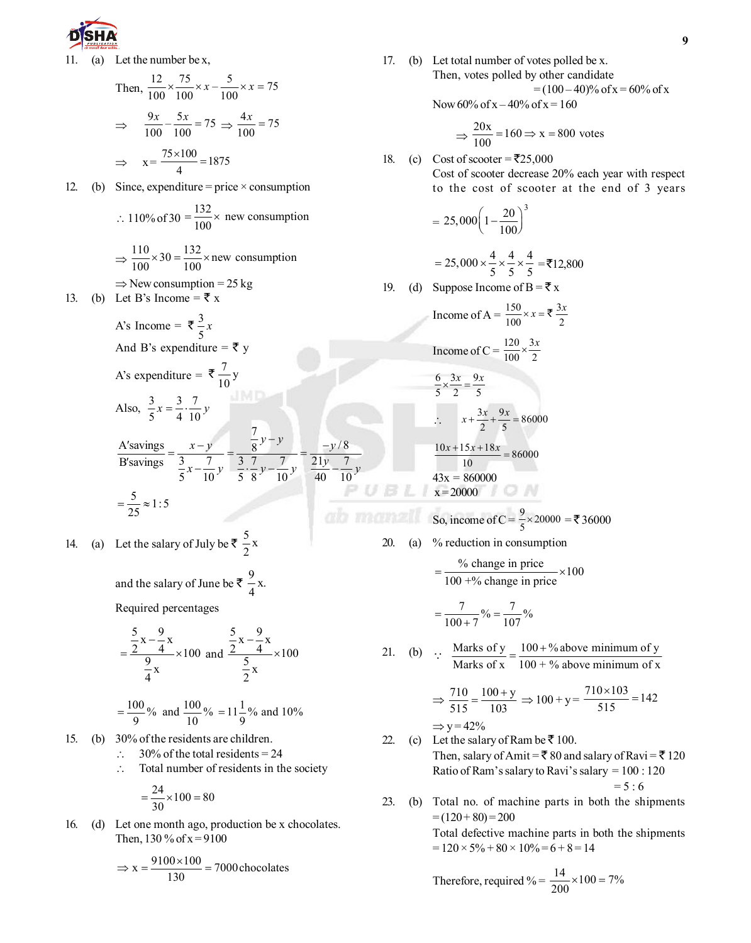

11. (a) Let the number be x,  
\nThen, 
$$
\frac{12}{100} \times \frac{75}{100} \times x - \frac{5}{100} \times x = 75
$$
  
\n $\Rightarrow \frac{9x}{100} - \frac{5x}{100} = 75 \Rightarrow \frac{4x}{100} = 75$   
\n $\Rightarrow x = \frac{75 \times 100}{4} = 1875$   
\n12. (b) Since, expenditure = price × consumption  
\n $\therefore 110\% \text{ of } 30 = \frac{132}{100} \times \text{new consumption}$   
\n $\Rightarrow \frac{110}{100} \times 30 = \frac{132}{100} \times \text{new consumption}$   
\n $\Rightarrow \text{New consumption} = 25 \text{ kg}$   
\n13. (b) Let B's Income =  $\overline{\overline{x}}$  x  
\nA's Income =  $\overline{\overline{x}}$  y  
\nA's expenditure =  $\overline{\overline{x}}$  y  
\nA's expenditure =  $\overline{\overline{x}}$  y  
\nAlso,  $\frac{3}{5}x = \frac{3}{4} \cdot \frac{7}{10}y$   
\n $\frac{A'savings}{B'savings} = \frac{x-y}{3 \cdot \frac{7}{5}y} = \frac{\frac{7}{8}y-y}{\frac{3}{5} \cdot \frac{7}{8}y - \frac{7}{10}y} = \frac{-y/8}{\frac{21y}{40} - \frac{7}{10}y}$   
\n $= \frac{5}{25} \approx 1:5$ 

14. (a) Let the salary of July be  $\overline{\tau}$   $\frac{5}{2}x$ 

and the salary of June be  $\bar{x}$   $\frac{9}{4}x$ .

Required percentages

$$
= \frac{\frac{5}{2} \times -\frac{9}{4} x}{\frac{9}{4} \times 100}
$$
 and 
$$
\frac{\frac{5}{2} \times -\frac{9}{4} x}{\frac{5}{2} \times 100}
$$

$$
= \frac{100}{9}\%
$$
 and  $\frac{100}{10}\%$  = 11 $\frac{1}{9}$ % and 10%

- 15. (b) 30% of the residents are children.
	- $\therefore$  30% of the total residents = 24
	- $\therefore$  Total number of residents in the society

$$
=\frac{24}{30}\times100=80
$$

16. (d) Let one month ago, production be x chocolates. Then,  $130\%$  of  $x = 9100$ 

$$
\Rightarrow x = \frac{9100 \times 100}{130} = 7000 \text{ chocolate}
$$

17. (b) Let total number of votes polled be x. Then, votes polled by other candidate  $= (100 - 40)\%$  of x = 60% of x

Now  $60\%$  of  $x - 40\%$  of  $x = 160$ 

$$
\Rightarrow \frac{20x}{100} = 160 \Rightarrow x = 800
$$
 votes

18. (c) Cost of scooter =  $\overline{5}25,000$ Cost of scooter decrease 20% each year with respect to the cost of scooter at the end of 3 years

$$
=25,000\left(1-\frac{20}{100}\right)^3
$$

$$
= 25,000 \times \frac{4}{5} \times \frac{4}{5} \times \frac{4}{5} = ₹12,800
$$

19. (d) Suppose Income of  $B = \overline{\xi} x$ 

Income of A = 
$$
\frac{150}{100} \times x = \overline{5} \frac{3x}{2}
$$

\nIncome of C = 
$$
\frac{120}{100} \times \frac{3x}{2}
$$

\n
$$
\frac{6}{5} \times \frac{3x}{2} = \frac{9x}{5}
$$

\n
$$
\therefore \quad x + \frac{3x}{2} + \frac{9x}{5} = 86000
$$

\n
$$
10x + 15x + 18x
$$

$$
\frac{10x + 15x + 18x}{10} = 86000
$$
  
43x = 860000  
 $x = 20000$ 

$$
x = 20000
$$
  
So, income of C =  $\frac{9}{5}$  × 20000 = ₹ 36000

20. (a) % reduction in consumption

UBL

$$
= \frac{\% \text{ change in price}}{100 + \% \text{ change in price}} \times 100
$$

$$
=\frac{7}{100+7}\% = \frac{7}{107}\%
$$

21. (b)  $\therefore$  Marks of y =  $\frac{100 + %}{}$  above minimum of y Marks of x  $100 + %$  above minimum of x  $\therefore$  Marks of y =  $\frac{100+}{100}$ 

$$
\Rightarrow \frac{710}{515} = \frac{100 + y}{103} \Rightarrow 100 + y = \frac{710 \times 103}{515} = 142
$$

$$
\Rightarrow
$$
 y=42%

- 22. (c) Let the salary of Ram be  $\bar{z}$  100. Then, salary of Amit =  $\bar{\mathbf{\tau}}$  80 and salary of Ravi =  $\bar{\mathbf{\tau}}$  120 Ratio of Ram's salary to Ravi's salary = 100 : 120  $= 5 : 6$
- 23. (b) Total no. of machine parts in both the shipments  $= (120 + 80) = 200$ Total defective machine parts in both the shipments  $= 120 \times 5\% + 80 \times 10\% = 6 + 8 = 14$

Therefore, required % = 
$$
\frac{14}{200} \times 100 = 7\%
$$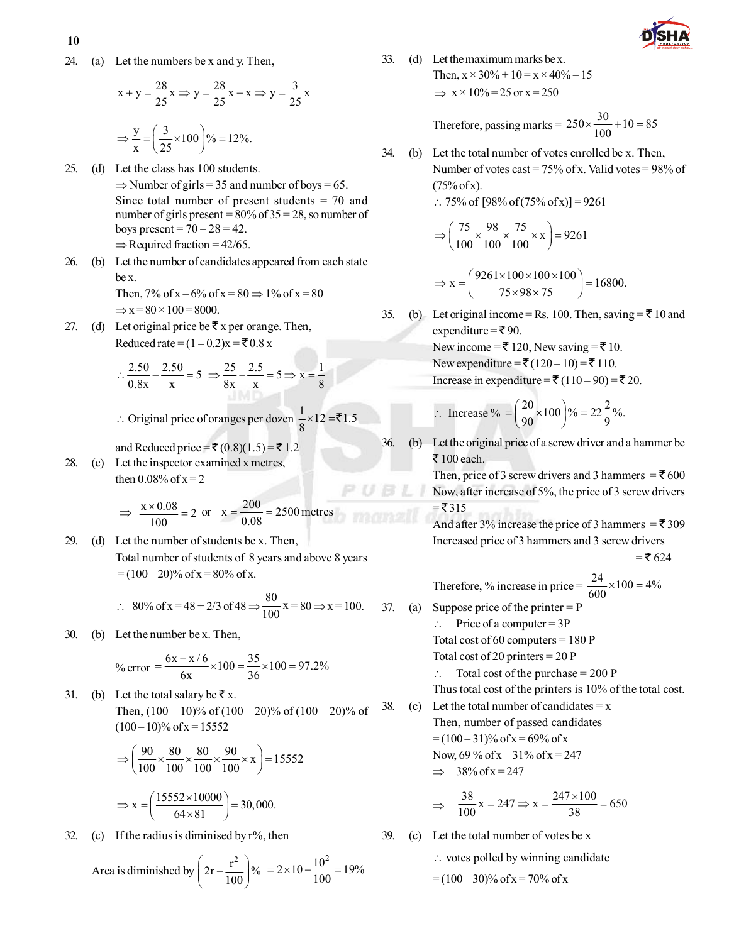24. (a) Let the numbers be x and y. Then,

$$
x + y = \frac{28}{25}x \Rightarrow y = \frac{28}{25}x - x \Rightarrow y = \frac{3}{25}x
$$

$$
\Rightarrow \frac{y}{x} = \left(\frac{3}{25} \times 100\right) \% = 12\%.
$$

25. (d) Let the class has 100 students.  $\Rightarrow$  Number of girls = 35 and number of boys = 65. Since total number of present students = 70 and number of girls present =  $80\%$  of  $35 = 28$ , so number of boys present =  $70 - 28 = 42$ .  $\Rightarrow$  Required fraction = 42/65.

26. (b) Let the number of candidates appeared from each state be x. Then,  $7\%$  of  $x - 6\%$  of  $x = 80 \Rightarrow 1\%$  of  $x = 80$ 

 $\Rightarrow$  x = 80  $\times$  100 = 8000.

27. (d) Let original price be  $\bar{x}$  x per orange. Then, Reduced rate =  $(1 – 0.2)x = ₹0.8 x$ 

$$
\therefore \frac{2.50}{0.8x} - \frac{2.50}{x} = 5 \implies \frac{25}{8x} - \frac{2.5}{x} = 5 \implies x = \frac{1}{8}
$$

∴ Original price of oranges per dozen  $\frac{1}{8}$  × 12 =₹1.5

and Reduced price = ₹ (0.8)(1.5) = ₹ 1.2

28. (c) Let the inspector examined x metres, then  $0.08\%$  of  $x = 2$ 

$$
\Rightarrow \frac{x \times 0.08}{100} = 2
$$
 or  $x = \frac{200}{0.08} = 2500$  metres

29. (d) Let the number of students be x. Then, Total number of students of 8 years and above 8 years  $= (100 - 20)\%$  of x = 80% of x.

$$
\therefore 80\% \text{ of } x = 48 + 2/3 \text{ of } 48 \Rightarrow \frac{80}{100} x = 80 \Rightarrow x = 100.
$$
 3

30. (b) Let the number be x. Then,

$$
\% \text{ error} = \frac{6x - x/6}{6x} \times 100 = \frac{35}{36} \times 100 = 97.2\%
$$

31. (b) Let the total salary be  $\bar{\mathbf{\xi}}$  x. Then,  $(100 - 10)\%$  of  $(100 - 20)\%$  of  $(100 - 20)\%$  of  $(100-10)\%$  of x = 15552

$$
\Rightarrow \left(\frac{90}{100} \times \frac{80}{100} \times \frac{80}{100} \times \frac{90}{100} \times x\right) = 15552
$$

$$
\Rightarrow x = \left(\frac{15552 \times 10000}{64 \times 81}\right) = 30,000.
$$

32. (c) If the radius is diminised by  $r\%$ , then

Area is diminished by 
$$
\left(2r - \frac{r^2}{100}\right)\%
$$
 =  $2 \times 10 - \frac{10^2}{100} = 19\%$ 

33. (d) Let the maximum marks be x. Then,  $x \times 30\% + 10 = x \times 40\% - 15$  $\Rightarrow$  x × 10% = 25 or x = 250

Therefore, passing marks = 
$$
250 \times \frac{30}{100} + 10 = 85
$$

34. (b) Let the total number of votes enrolled be x. Then, Number of votes cast =  $75\%$  of x. Valid votes =  $98\%$  of  $(75% \text{ of } x)$ .

 $\therefore$  75% of [98% of (75% of x)] = 9261

$$
\Rightarrow \left(\frac{75}{100} \times \frac{98}{100} \times \frac{75}{100} \times x\right) = 9261
$$

$$
\Rightarrow x = \left(\frac{9261 \times 100 \times 100 \times 100}{75 \times 98 \times 75}\right) = 16800.
$$

35. (b) Let original income = Rs. 100. Then, saving =  $\bar{\tau}$  10 and expenditure =  $\bar{\bar{\xi}}$ 90. New income =  $\bar{\mathbf{\tau}}$  120, New saving =  $\bar{\mathbf{\tau}}$  10. New expenditure = ₹ (120 – 10) = ₹ 110.

Increase in expenditure = ₹ 
$$
(110-90)
$$
 = ₹  $20$ .

$$
\therefore \text{ Increase } \% = \left(\frac{20}{90} \times 100\right) \% = 22\frac{2}{9}\%.
$$

36. (b) Let the original price of a screw driver and a hammer be  $\bar{z}$  100 each.

> Then, price of 3 screw drivers and 3 hammers =  $\bar{z}$  600 Now, after increase of 5%, the price of 3 screw drivers  $=$  ₹ 315

> And after 3% increase the price of 3 hammers =  $\bar{\mathbf{\mathsf{z}}}$  309 Increased price of 3 hammers and 3 screw drivers  $=$  ₹ 624

Therefore, % increase in price = 
$$
\frac{24}{600} \times 100 = 4\%
$$

37. (a) Suppose price of the printer  $= P$  $\therefore$  Price of a computer = 3P

UBL

Total cost of  $60$  computers = 180 P

Total cost of 20 printers = 20 P

 $\therefore$  Total cost of the purchase = 200 P

Thus total cost of the printers is 10% of the total cost.

38. (c) Let the total number of candidates  $= x$ Then, number of passed candidates  $=(100-31)\%$  of x = 69% of x Now,  $69\%$  of  $x - 31\%$  of  $x = 247$  $\Rightarrow$  38% of x = 247

$$
\Rightarrow \quad \frac{38}{100}x = 247 \Rightarrow x = \frac{247 \times 100}{38} = 650
$$

- 39. (c) Let the total number of votes be x
	- $\therefore$  votes polled by winning candidate
	- $= (100 30)\%$  of x = 70% of x

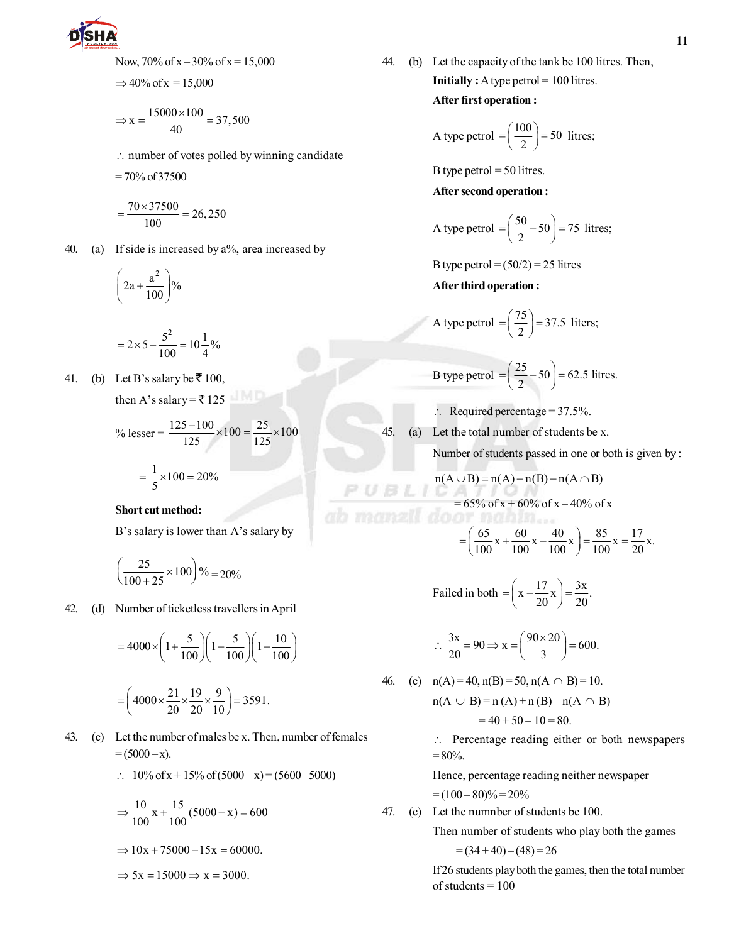

Now, 70% of x – 30% of x = 15,000

$$
\Rightarrow 40\% \text{ of x} = 15,000
$$

$$
\Rightarrow x = \frac{15000 \times 100}{40} = 37,500
$$

 $\therefore$  number of votes polled by winning candidate

$$
= 70\% \text{ of } 37500
$$

$$
=\frac{70\times37500}{100}=26,250
$$

40. (a) If side is increased by a%, area increased by

$$
\left(2a + \frac{a^2}{100}\right)\%
$$

$$
=2\times 5+\frac{5^2}{100}=10\frac{1}{4}\%
$$

41. (b) Let B's salary be  $\bar{z}$  100,

then A's salary =  $\overline{5}$  125

% lesser = 
$$
\frac{125 - 100}{125} \times 100 = \frac{25}{125} \times 100
$$

$$
= \frac{1}{5} \times 100 = 20\%
$$

### **Short cut method:**

B's salary is lower than A's salary by

$$
\left(\frac{25}{100+25} \times 100\right) \% = 20\%
$$

42. (d) Number of ticketless travellers in April

$$
=4000 \times \left(1+\frac{5}{100}\right) \left(1-\frac{5}{100}\right) \left(1-\frac{10}{100}\right)
$$

$$
= \left( 4000 \times \frac{21}{20} \times \frac{19}{20} \times \frac{9}{10} \right) = 3591.
$$

43. (c) Let the number of males be x. Then, number of females  $=(5000 - x).$ 

$$
\therefore 10\% \text{ of } x + 15\% \text{ of } (5000 - x) = (5600 - 5000)
$$

$$
\Rightarrow \frac{10}{100}x + \frac{15}{100}(5000 - x) = 600
$$

 $\Rightarrow$  10x + 75000 - 15x = 60000.

 $\Rightarrow$  5x = 15000  $\Rightarrow$  x = 3000.

44. (b) Let the capacity of the tank be 100 litres. Then, **Initially :** A type petrol = 100 litres.

#### **After first operation :**

A type petrol = 
$$
\left(\frac{100}{2}\right)
$$
 = 50 litres;

B type petrol  $=$  50 litres.

**After second operation :**

A type petrol = 
$$
\left(\frac{50}{2} + 50\right) = 75
$$
 litres;

B type petrol =  $(50/2)$  = 25 litres

**After third operation :**

A type petrol = 
$$
\left(\frac{75}{2}\right)
$$
 = 37.5 liters;

B type petrol  $= \left(\frac{25}{2} + 50\right) = 62.5$  litres.  $=\left(\frac{25}{2}+50\right)=$ 

- $\therefore$  Required percentage = 37.5%.
- 45. (a) Let the total number of students be x.

 $PUBLI$ 

Number of students passed in one or both is given by :

$$
n(A \cup B) = n(A) + n(B) - n(A \cap B)
$$
  
= 65% of x + 60% of x - 40% of x

$$
= \left(\frac{65}{100}x + \frac{60}{100}x - \frac{40}{100}x\right) = \frac{85}{100}x = \frac{17}{20}x.
$$

Failed in both  $= \left(x - \frac{17}{20}x\right) = \frac{3x}{20}$ .  $=\left(x-\frac{17}{20}x\right)=\frac{1}{2}$ 

$$
\therefore \frac{3x}{20} = 90 \Rightarrow x = \left(\frac{90 \times 20}{3}\right) = 600.
$$

46. (c) 
$$
n(A) = 40
$$
,  $n(B) = 50$ ,  $n(A \cap B) = 10$ .  
\n $n(A \cup B) = n(A) + n(B) - n(A \cap B)$   
\n $= 40 + 50 - 10 = 80$ .

\ Percentage reading either or both newspapers  $= 80\%$ .

Hence, percentage reading neither newspaper  $=(100-80)\% = 20\%$ 

47. (c) Let the numnber of students be 100.

Then number of students who play both the games

$$
=(34+40)-(48)=26
$$

If 26 students play both the games, then the total number of students  $= 100$